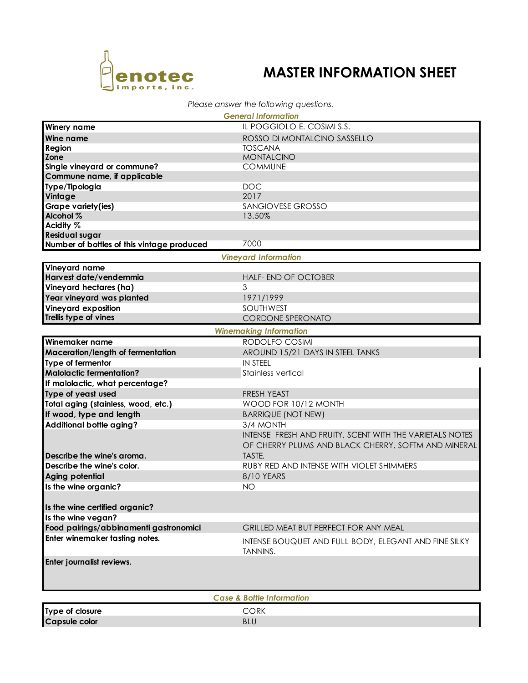

**Type of closure CORK Capsule color** BLU

## **MASTER INFORMATION SHEET**

## *Please answer the following questions.*

| <b>General Information</b>                 |                                                                          |  |  |  |  |
|--------------------------------------------|--------------------------------------------------------------------------|--|--|--|--|
| Winery name                                | IL POGGIOLO E. COSIMI S.S.                                               |  |  |  |  |
| Wine name                                  | ROSSO DI MONTALCINO SASSELLO                                             |  |  |  |  |
| Region                                     | <b>TOSCANA</b>                                                           |  |  |  |  |
| <b>Zone</b>                                | <b>MONTALCINO</b>                                                        |  |  |  |  |
| Single vineyard or commune?                | <b>COMMUNE</b>                                                           |  |  |  |  |
| Commune name, if applicable                |                                                                          |  |  |  |  |
| Type/Tipologia                             | <b>DOC</b>                                                               |  |  |  |  |
| Vintage                                    | 2017                                                                     |  |  |  |  |
| Grape variety(ies)                         | SANGIOVESE GROSSO                                                        |  |  |  |  |
| Alcohol %                                  | 13.50%                                                                   |  |  |  |  |
| Acidity %                                  |                                                                          |  |  |  |  |
| <b>Residual sugar</b>                      | 7000                                                                     |  |  |  |  |
| Number of bottles of this vintage produced |                                                                          |  |  |  |  |
|                                            | <b>Vineyard Information</b>                                              |  |  |  |  |
| Vineyard name                              |                                                                          |  |  |  |  |
| Harvest date/vendemmia                     | <b>HALF- END OF OCTOBER</b>                                              |  |  |  |  |
| Vineyard hectares (ha)                     | 3                                                                        |  |  |  |  |
| Year vineyard was planted                  | 1971/1999                                                                |  |  |  |  |
| <b>Vineyard exposition</b>                 | <b>SOUTHWEST</b>                                                         |  |  |  |  |
| Trellis type of vines                      | CORDONE SPERONATO                                                        |  |  |  |  |
| <b>Winemaking Information</b>              |                                                                          |  |  |  |  |
| Winemaker name                             | RODOLFO COSIMI                                                           |  |  |  |  |
| Maceration/length of fermentation          | AROUND 15/21 DAYS IN STEEL TANKS                                         |  |  |  |  |
| Type of fermentor                          | <b>IN STEEL</b>                                                          |  |  |  |  |
| <b>Malolactic fermentation?</b>            | Stainless vertical                                                       |  |  |  |  |
| If malolactic, what percentage?            |                                                                          |  |  |  |  |
| Type of yeast used                         | <b>FRESH YEAST</b>                                                       |  |  |  |  |
| Total aging (stainless, wood, etc.)        | WOOD FOR 10/12 MONTH                                                     |  |  |  |  |
| If wood, type and length                   | <b>BARRIQUE (NOT NEW)</b>                                                |  |  |  |  |
| Additional bottle aging?                   | 3/4 MONTH                                                                |  |  |  |  |
|                                            | INTENSE FRESH AND FRUITY, SCENT WITH THE VARIETALS NOTES                 |  |  |  |  |
|                                            | OF CHERRY PLUMS AND BLACK CHERRY, SOFTM AND MINERAL                      |  |  |  |  |
| Describe the wine's aroma.                 | TASTE.                                                                   |  |  |  |  |
| Describe the wine's color.                 | RUBY RED AND INTENSE WITH VIOLET SHIMMERS                                |  |  |  |  |
| Aging potential                            | 8/10 YEARS                                                               |  |  |  |  |
| Is the wine organic?                       | ΝO                                                                       |  |  |  |  |
|                                            |                                                                          |  |  |  |  |
| Is the wine certified organic?             |                                                                          |  |  |  |  |
| Is the wine vegan?                         |                                                                          |  |  |  |  |
| Food pairings/abbinamenti gastronomici     | <b>GRILLED MEAT BUT PERFECT FOR ANY MEAL</b>                             |  |  |  |  |
| Enter winemaker tasting notes.             | INTENSE BOUQUET AND FULL BODY, ELEGANT AND FINE SILKY<br><b>TANNINS.</b> |  |  |  |  |
| Enter journalist reviews.                  |                                                                          |  |  |  |  |
|                                            |                                                                          |  |  |  |  |
| <b>Case &amp; Bottle Information</b>       |                                                                          |  |  |  |  |
|                                            |                                                                          |  |  |  |  |